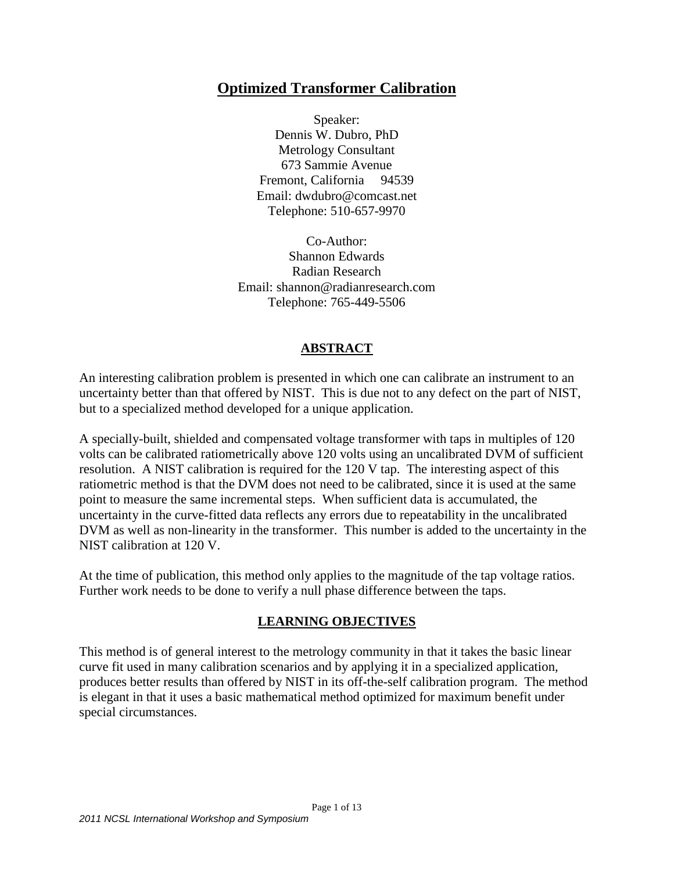# **Optimized Transformer Calibration**

Speaker: Dennis W. Dubro, PhD Metrology Consultant 673 Sammie Avenue Fremont, California 94539 Email: dwdubro@comcast.net Telephone: 510-657-9970

Co-Author: Shannon Edwards Radian Research Email: shannon@radianresearch.com Telephone: 765-449-5506

### **ABSTRACT**

An interesting calibration problem is presented in which one can calibrate an instrument to an uncertainty better than that offered by NIST. This is due not to any defect on the part of NIST, but to a specialized method developed for a unique application.

A specially-built, shielded and compensated voltage transformer with taps in multiples of 120 volts can be calibrated ratiometrically above 120 volts using an uncalibrated DVM of sufficient resolution. A NIST calibration is required for the 120 V tap. The interesting aspect of this ratiometric method is that the DVM does not need to be calibrated, since it is used at the same point to measure the same incremental steps. When sufficient data is accumulated, the uncertainty in the curve-fitted data reflects any errors due to repeatability in the uncalibrated DVM as well as non-linearity in the transformer. This number is added to the uncertainty in the NIST calibration at 120 V.

At the time of publication, this method only applies to the magnitude of the tap voltage ratios. Further work needs to be done to verify a null phase difference between the taps.

### **LEARNING OBJECTIVES**

This method is of general interest to the metrology community in that it takes the basic linear curve fit used in many calibration scenarios and by applying it in a specialized application, produces better results than offered by NIST in its off-the-self calibration program. The method is elegant in that it uses a basic mathematical method optimized for maximum benefit under special circumstances.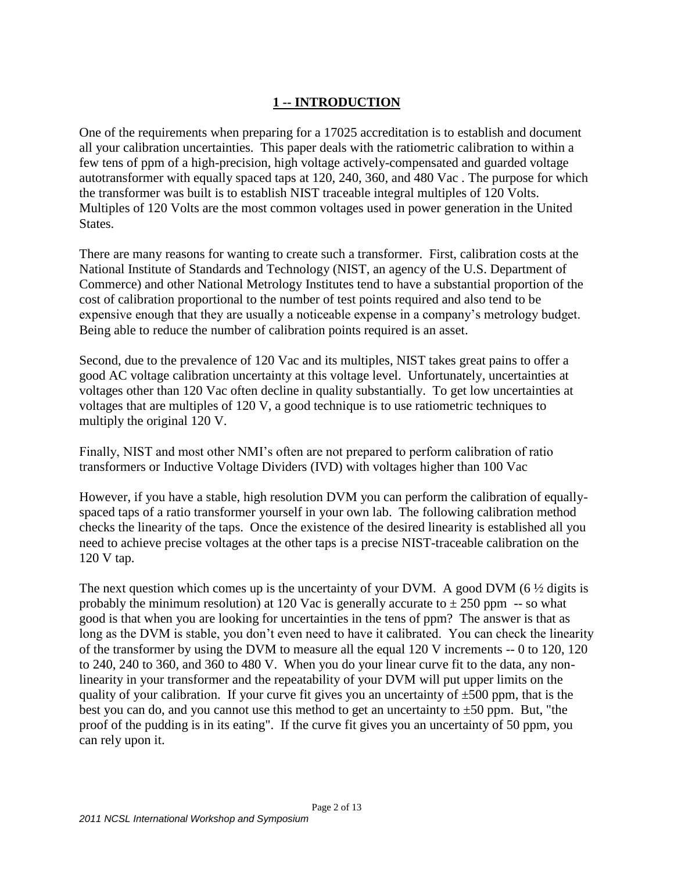## **1 -- INTRODUCTION**

One of the requirements when preparing for a 17025 accreditation is to establish and document all your calibration uncertainties. This paper deals with the ratiometric calibration to within a few tens of ppm of a high-precision, high voltage actively-compensated and guarded voltage autotransformer with equally spaced taps at 120, 240, 360, and 480 Vac . The purpose for which the transformer was built is to establish NIST traceable integral multiples of 120 Volts. Multiples of 120 Volts are the most common voltages used in power generation in the United States.

There are many reasons for wanting to create such a transformer. First, calibration costs at the National Institute of Standards and Technology (NIST, an agency of the U.S. Department of Commerce) and other National Metrology Institutes tend to have a substantial proportion of the cost of calibration proportional to the number of test points required and also tend to be expensive enough that they are usually a noticeable expense in a company's metrology budget. Being able to reduce the number of calibration points required is an asset.

Second, due to the prevalence of 120 Vac and its multiples, NIST takes great pains to offer a good AC voltage calibration uncertainty at this voltage level. Unfortunately, uncertainties at voltages other than 120 Vac often decline in quality substantially. To get low uncertainties at voltages that are multiples of 120 V, a good technique is to use ratiometric techniques to multiply the original 120 V.

Finally, NIST and most other NMI's often are not prepared to perform calibration of ratio transformers or Inductive Voltage Dividers (IVD) with voltages higher than 100 Vac

However, if you have a stable, high resolution DVM you can perform the calibration of equallyspaced taps of a ratio transformer yourself in your own lab. The following calibration method checks the linearity of the taps. Once the existence of the desired linearity is established all you need to achieve precise voltages at the other taps is a precise NIST-traceable calibration on the 120 V tap.

The next question which comes up is the uncertainty of your DVM. A good DVM  $(6 \frac{1}{2})$  digits is probably the minimum resolution) at 120 Vac is generally accurate to  $\pm$  250 ppm  $\sim$ - so what good is that when you are looking for uncertainties in the tens of ppm? The answer is that as long as the DVM is stable, you don't even need to have it calibrated. You can check the linearity of the transformer by using the DVM to measure all the equal 120 V increments -- 0 to 120, 120 to 240, 240 to 360, and 360 to 480 V. When you do your linear curve fit to the data, any nonlinearity in your transformer and the repeatability of your DVM will put upper limits on the quality of your calibration. If your curve fit gives you an uncertainty of  $\pm 500$  ppm, that is the best you can do, and you cannot use this method to get an uncertainty to  $\pm 50$  ppm. But, "the proof of the pudding is in its eating". If the curve fit gives you an uncertainty of 50 ppm, you can rely upon it.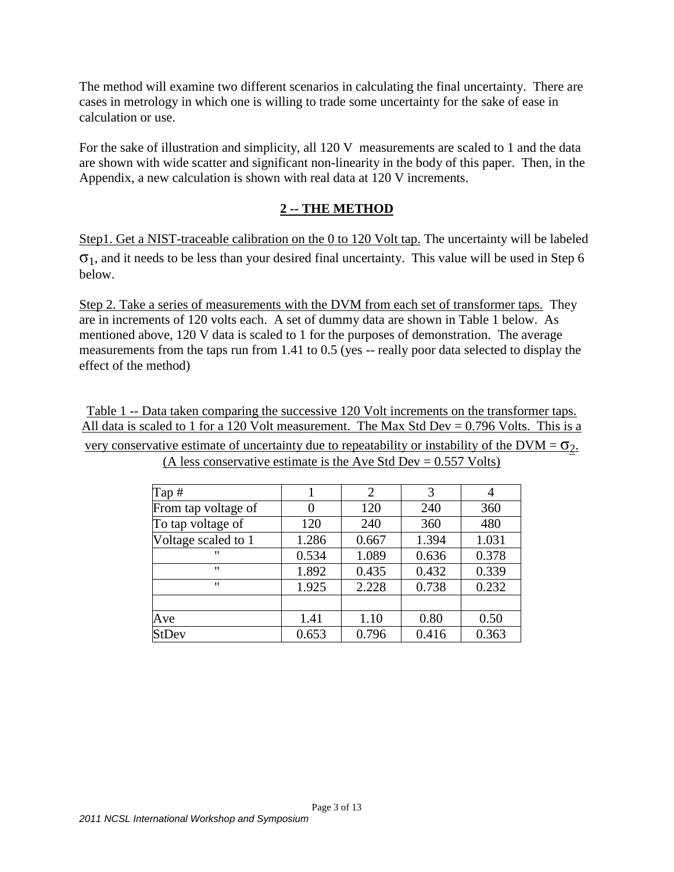The method will examine two different scenarios in calculating the final uncertainty. There are cases in metrology in which one is willing to trade some uncertainty for the sake of ease in calculation or use.

For the sake of illustration and simplicity, all 120 V measurements are scaled to 1 and the data are shown with wide scatter and significant non-linearity in the body of this paper. Then, in the Appendix, a new calculation is shown with real data at 120 V increments.

### **2 -- THE METHOD**

Step1. Get a NIST-traceable calibration on the 0 to 120 Volt tap. The uncertainty will be labeled  $\sigma_1$ , and it needs to be less than your desired final uncertainty. This value will be used in Step 6 below.

Step 2. Take a series of measurements with the DVM from each set of transformer taps. They are in increments of 120 volts each. A set of dummy data are shown in Table 1 below. As mentioned above, 120 V data is scaled to 1 for the purposes of demonstration. The average measurements from the taps run from 1.41 to 0.5 (yes -- really poor data selected to display the effect of the method)

Table 1 -- Data taken comparing the successive 120 Volt increments on the transformer taps. All data is scaled to 1 for a 120 Volt measurement. The Max Std Dev =  $0.796$  Volts. This is a very conservative estimate of uncertainty due to repeatability or instability of the DVM =  $\sigma_2$ . (A less conservative estimate is the Ave Std Dev =  $0.557$  Volts)

| Tap $#$             |       | $\overline{2}$ | 3     | 4     |
|---------------------|-------|----------------|-------|-------|
| From tap voltage of | 0     | 120            | 240   | 360   |
| To tap voltage of   | 120   | 240            | 360   | 480   |
| Voltage scaled to 1 | 1.286 | 0.667          | 1.394 | 1.031 |
| $^{\prime\prime}$   | 0.534 | 1.089          | 0.636 | 0.378 |
| "                   | 1.892 | 0.435          | 0.432 | 0.339 |
| $^{\prime}$         | 1.925 | 2.228          | 0.738 | 0.232 |
|                     |       |                |       |       |
| Ave                 | 1.41  | 1.10           | 0.80  | 0.50  |
| <b>StDev</b>        | 0.653 | 0.796          | 0.416 | 0.363 |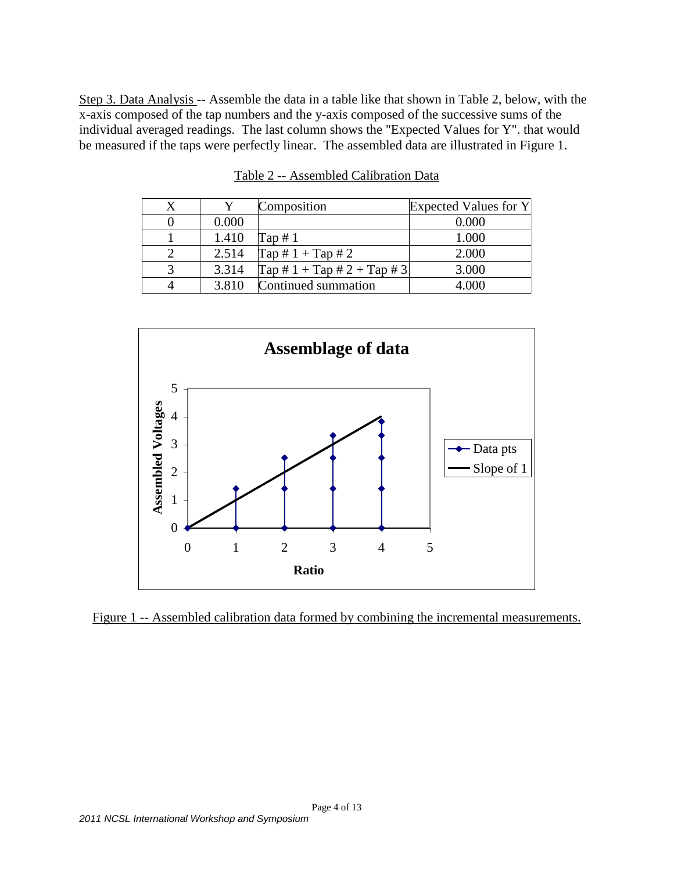Step 3. Data Analysis -- Assemble the data in a table like that shown in Table 2, below, with the x-axis composed of the tap numbers and the y-axis composed of the successive sums of the individual averaged readings. The last column shows the "Expected Values for Y". that would be measured if the taps were perfectly linear. The assembled data are illustrated in Figure 1.

|       | Composition                                           | Expected Values for Y |
|-------|-------------------------------------------------------|-----------------------|
| 0.000 |                                                       | 0.000                 |
| 1.410 | Tap $#1$                                              | 1.000                 |
| 2.514 | $Tap \# 1 + Tap \# 2$                                 | 2.000                 |
| 3.314 | $\text{Tap} \# 1 + \text{Tap} \# 2 + \text{Tap} \# 3$ | 3.000                 |
| 3.810 | Continued summation                                   | 4 000                 |

Table 2 -- Assembled Calibration Data



Figure 1 -- Assembled calibration data formed by combining the incremental measurements.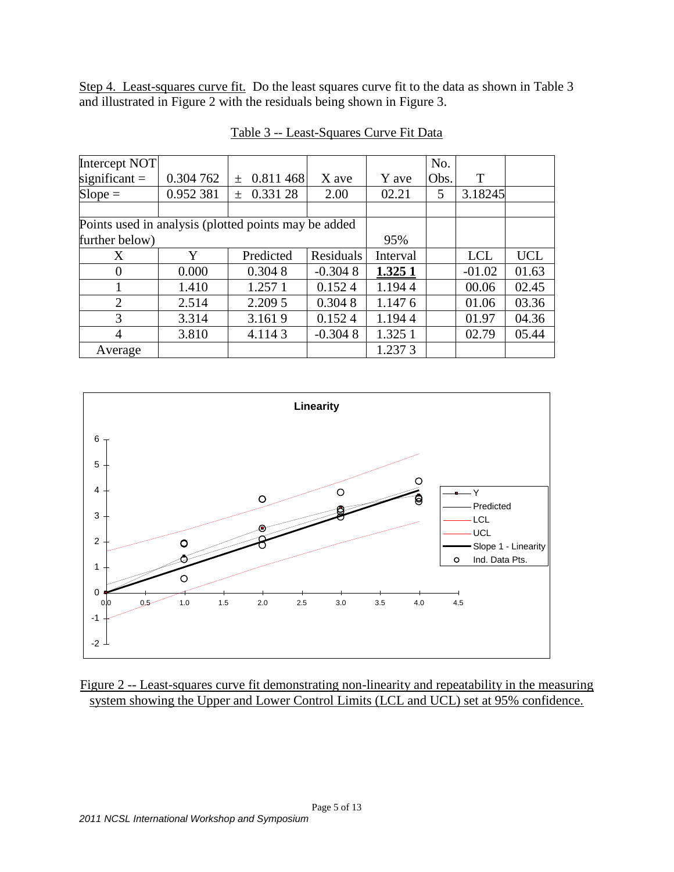Step 4. Least-squares curve fit. Do the least squares curve fit to the data as shown in Table 3 and illustrated in Figure 2 with the residuals being shown in Figure 3.

| Intercept NOT                                        |           |                              |           |          | No.  |            |            |
|------------------------------------------------------|-----------|------------------------------|-----------|----------|------|------------|------------|
| significant $=$                                      | 0.304 762 | 0.811 468<br>$\! + \!\!\!\!$ | X ave     | Y ave    | Obs. | T          |            |
| $Slope =$                                            | 0.952 381 | 0.331 28<br>$^{+}$           | 2.00      | 02.21    | 5    | 3.18245    |            |
|                                                      |           |                              |           |          |      |            |            |
| Points used in analysis (plotted points may be added |           |                              |           |          |      |            |            |
| further below)                                       |           |                              |           | 95%      |      |            |            |
| X                                                    | Y         | Predicted                    | Residuals | Interval |      | <b>LCL</b> | <b>UCL</b> |
| $\overline{0}$                                       | 0.000     | 0.3048                       | $-0.3048$ | 1.3251   |      | $-01.02$   | 01.63      |
|                                                      | 1.410     | 1.257 1                      | 0.1524    | 1.1944   |      | 00.06      | 02.45      |
| $\overline{2}$                                       | 2.514     | 2.209 5                      | 0.3048    | 1.1476   |      | 01.06      | 03.36      |
| 3                                                    | 3.314     | 3.1619                       | 0.1524    | 1.1944   |      | 01.97      | 04.36      |
| 4                                                    | 3.810     | 4.1143                       | $-0.3048$ | 1.325 1  |      | 02.79      | 05.44      |
| Average                                              |           |                              |           | 1.2373   |      |            |            |

Table 3 -- Least-Squares Curve Fit Data



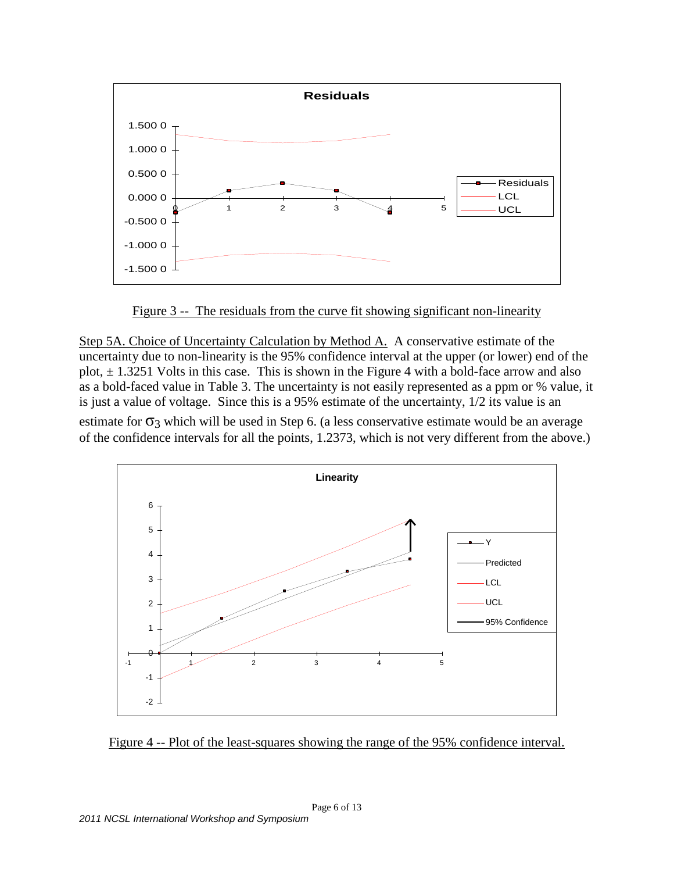

Figure 3 -- The residuals from the curve fit showing significant non-linearity

Step 5A. Choice of Uncertainty Calculation by Method A. A conservative estimate of the uncertainty due to non-linearity is the 95% confidence interval at the upper (or lower) end of the plot,  $\pm$  1.3251 Volts in this case. This is shown in the Figure 4 with a bold-face arrow and also as a bold-faced value in Table 3. The uncertainty is not easily represented as a ppm or % value, it is just a value of voltage. Since this is a 95% estimate of the uncertainty, 1/2 its value is an estimate for  $\sigma_3$  which will be used in Step 6. (a less conservative estimate would be an average of the confidence intervals for all the points, 1.2373, which is not very different from the above.)



Figure 4 -- Plot of the least-squares showing the range of the 95% confidence interval.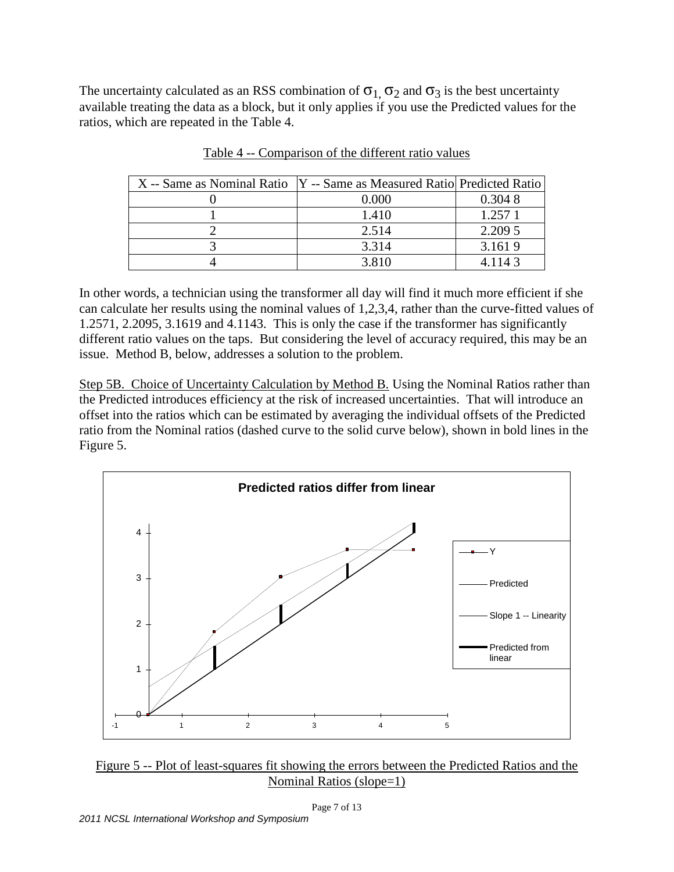The uncertainty calculated as an RSS combination of  $\sigma_1$ ,  $\sigma_2$  and  $\sigma_3$  is the best uncertainty available treating the data as a block, but it only applies if you use the Predicted values for the ratios, which are repeated in the Table 4.

| X -- Same as Nominal Ratio   Y -- Same as Measured Ratio   Predicted Ratio |       |         |
|----------------------------------------------------------------------------|-------|---------|
|                                                                            | 0.000 | 0.3048  |
|                                                                            | 1.410 | 1.2571  |
|                                                                            | 2.514 | 2.209 5 |
|                                                                            | 3.314 | 3.1619  |
|                                                                            | 3.810 | 4.1143  |

Table 4 -- Comparison of the different ratio values

In other words, a technician using the transformer all day will find it much more efficient if she can calculate her results using the nominal values of 1,2,3,4, rather than the curve-fitted values of 1.2571, 2.2095, 3.1619 and 4.1143. This is only the case if the transformer has significantly different ratio values on the taps. But considering the level of accuracy required, this may be an issue. Method B, below, addresses a solution to the problem.

Step 5B. Choice of Uncertainty Calculation by Method B. Using the Nominal Ratios rather than the Predicted introduces efficiency at the risk of increased uncertainties. That will introduce an offset into the ratios which can be estimated by averaging the individual offsets of the Predicted ratio from the Nominal ratios (dashed curve to the solid curve below), shown in bold lines in the Figure 5.



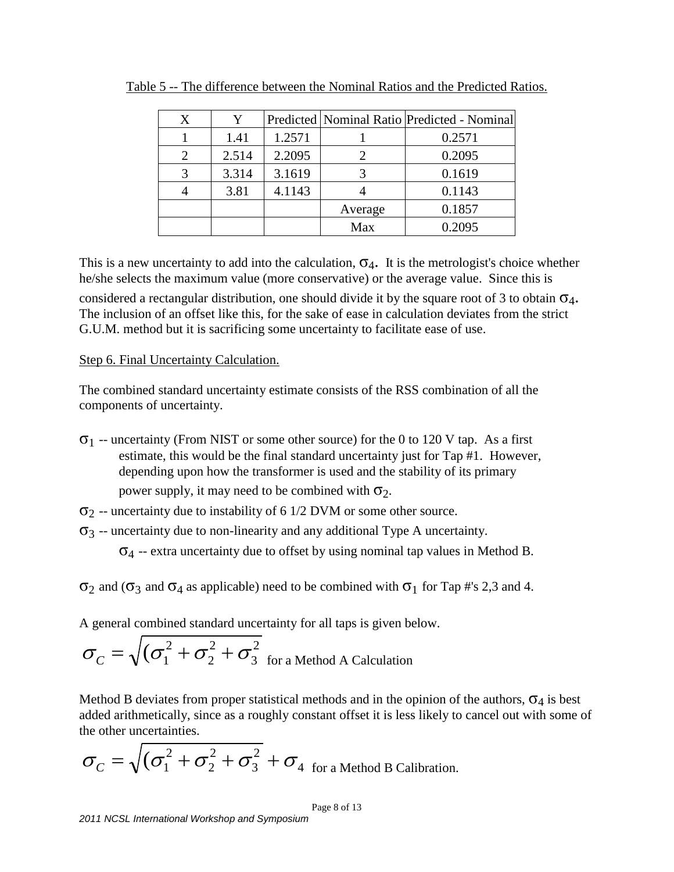| X | Y     |        |         | Predicted   Nominal Ratio   Predicted - Nominal |
|---|-------|--------|---------|-------------------------------------------------|
|   | 1.41  | 1.2571 |         | 0.2571                                          |
|   | 2.514 | 2.2095 |         | 0.2095                                          |
|   | 3.314 | 3.1619 |         | 0.1619                                          |
|   | 3.81  | 4.1143 |         | 0.1143                                          |
|   |       |        | Average | 0.1857                                          |
|   |       |        | Max     | 0.2095                                          |

Table 5 -- The difference between the Nominal Ratios and the Predicted Ratios.

This is a new uncertainty to add into the calculation,  $\sigma_4$ . It is the metrologist's choice whether he/she selects the maximum value (more conservative) or the average value. Since this is considered a rectangular distribution, one should divide it by the square root of 3 to obtain  $\sigma_4$ . The inclusion of an offset like this, for the sake of ease in calculation deviates from the strict G.U.M. method but it is sacrificing some uncertainty to facilitate ease of use.

#### Step 6. Final Uncertainty Calculation.

The combined standard uncertainty estimate consists of the RSS combination of all the components of uncertainty.

- $\sigma_1$  -- uncertainty (From NIST or some other source) for the 0 to 120 V tap. As a first estimate, this would be the final standard uncertainty just for Tap #1. However, depending upon how the transformer is used and the stability of its primary power supply, it may need to be combined with  $\sigma_2$ .
- $\sigma_2$  -- uncertainty due to instability of 6 1/2 DVM or some other source.
- $\sigma_3$  -- uncertainty due to non-linearity and any additional Type A uncertainty.

 $\sigma_4$  -- extra uncertainty due to offset by using nominal tap values in Method B.

 $\sigma_2$  and  $\sigma_3$  and  $\sigma_4$  as applicable) need to be combined with  $\sigma_1$  for Tap #'s 2,3 and 4.

A general combined standard uncertainty for all taps is given below.

$$
\sigma_C = \sqrt{(\sigma_1^2 + \sigma_2^2 + \sigma_3^2 \text{ for a Method A Calculation})}
$$

Method B deviates from proper statistical methods and in the opinion of the authors,  $\sigma_4$  is best added arithmetically, since as a roughly constant offset it is less likely to cancel out with some of the other uncertainties.

$$
\sigma_C = \sqrt{(\sigma_1^2 + \sigma_2^2 + \sigma_3^2} + \sigma_4
$$
 for a Method B California.

Page 8 of 13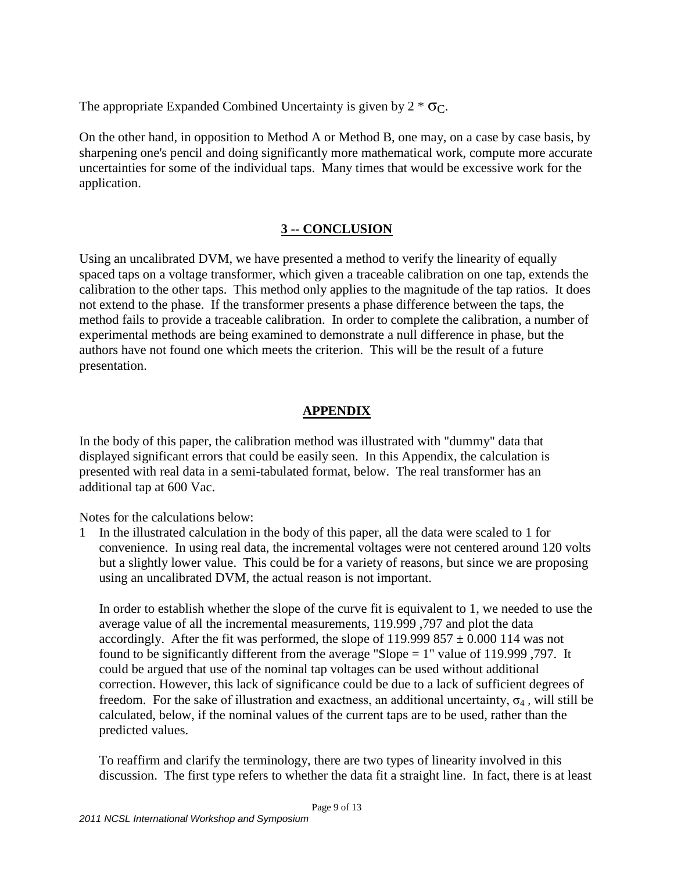The appropriate Expanded Combined Uncertainty is given by  $2 * \sigma_C$ .

On the other hand, in opposition to Method A or Method B, one may, on a case by case basis, by sharpening one's pencil and doing significantly more mathematical work, compute more accurate uncertainties for some of the individual taps. Many times that would be excessive work for the application.

## **3 -- CONCLUSION**

Using an uncalibrated DVM, we have presented a method to verify the linearity of equally spaced taps on a voltage transformer, which given a traceable calibration on one tap, extends the calibration to the other taps. This method only applies to the magnitude of the tap ratios. It does not extend to the phase. If the transformer presents a phase difference between the taps, the method fails to provide a traceable calibration. In order to complete the calibration, a number of experimental methods are being examined to demonstrate a null difference in phase, but the authors have not found one which meets the criterion. This will be the result of a future presentation.

# **APPENDIX**

In the body of this paper, the calibration method was illustrated with "dummy" data that displayed significant errors that could be easily seen. In this Appendix, the calculation is presented with real data in a semi-tabulated format, below. The real transformer has an additional tap at 600 Vac.

Notes for the calculations below:

1 In the illustrated calculation in the body of this paper, all the data were scaled to 1 for convenience. In using real data, the incremental voltages were not centered around 120 volts but a slightly lower value. This could be for a variety of reasons, but since we are proposing using an uncalibrated DVM, the actual reason is not important.

In order to establish whether the slope of the curve fit is equivalent to 1, we needed to use the average value of all the incremental measurements, 119.999 ,797 and plot the data accordingly. After the fit was performed, the slope of  $119.999857 \pm 0.000114$  was not found to be significantly different from the average "Slope = 1" value of 119.999 ,797. It could be argued that use of the nominal tap voltages can be used without additional correction. However, this lack of significance could be due to a lack of sufficient degrees of freedom. For the sake of illustration and exactness, an additional uncertainty,  $\sigma_4$ , will still be calculated, below, if the nominal values of the current taps are to be used, rather than the predicted values.

To reaffirm and clarify the terminology, there are two types of linearity involved in this discussion. The first type refers to whether the data fit a straight line. In fact, there is at least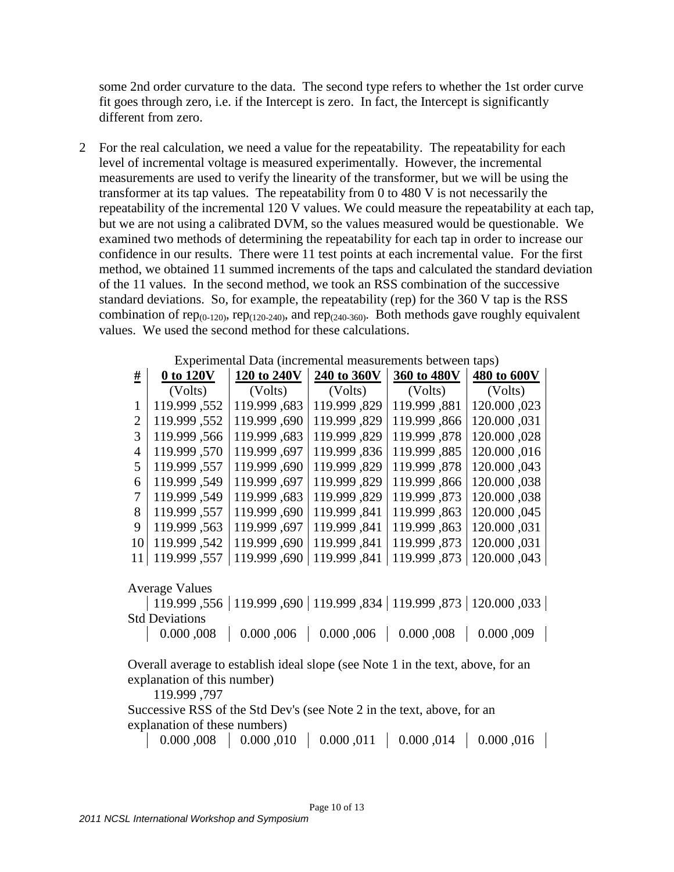some 2nd order curvature to the data. The second type refers to whether the 1st order curve fit goes through zero, i.e. if the Intercept is zero. In fact, the Intercept is significantly different from zero.

2 For the real calculation, we need a value for the repeatability. The repeatability for each level of incremental voltage is measured experimentally. However, the incremental measurements are used to verify the linearity of the transformer, but we will be using the transformer at its tap values. The repeatability from 0 to 480 V is not necessarily the repeatability of the incremental 120 V values. We could measure the repeatability at each tap, but we are not using a calibrated DVM, so the values measured would be questionable. We examined two methods of determining the repeatability for each tap in order to increase our confidence in our results. There were 11 test points at each incremental value. For the first method, we obtained 11 summed increments of the taps and calculated the standard deviation of the 11 values. In the second method, we took an RSS combination of the successive standard deviations. So, for example, the repeatability (rep) for the 360 V tap is the RSS combination of rep<sub>(0-120)</sub>, rep<sub>(120-240)</sub>, and rep<sub>(240-360)</sub>. Both methods gave roughly equivalent values. We used the second method for these calculations.

|               | Experimental Data (incremental measurements between taps) |              |              |              |             |  |  |  |
|---------------|-----------------------------------------------------------|--------------|--------------|--------------|-------------|--|--|--|
| #             | 0 to 120V                                                 | 120 to 240V  | 240 to 360V  | 360 to 480V  | 480 to 600V |  |  |  |
|               | (Volts)                                                   | (Volts)      | (Volts)      | (Volts)      | (Volts)     |  |  |  |
|               | 119.999, 552                                              | 119.999, 683 | 119.999, 829 | 119.999, 881 | 120.000,023 |  |  |  |
|               | 119.999, 552                                              | 119.999, 690 | 119.999, 829 | 119.999, 866 | 120.000,031 |  |  |  |
| $\mathcal{R}$ | 119.999, 566                                              | 119.999, 683 | 119.999, 829 | 119.999, 878 | 120.000,028 |  |  |  |
| 4             | 119.999, 570                                              | 119.999, 697 | 119.999, 836 | 119.999, 885 | 120.000,016 |  |  |  |
| 5             | 119.999, 557                                              | 119.999, 690 | 119.999, 829 | 119.999, 878 | 120.000,043 |  |  |  |
| 6             | 119.999, 549                                              | 119.999, 697 | 119.999, 829 | 119.999, 866 | 120.000,038 |  |  |  |
|               | 119.999, 549                                              | 119.999, 683 | 119.999, 829 | 119.999 .873 | 120.000,038 |  |  |  |
| 8             | 119.999, 557                                              | 119.999, 690 | 119.999, 841 | 119.999, 863 | 120.000,045 |  |  |  |
| 9             | 119.999, 563                                              | 119.999, 697 | 119.999, 841 | 119.999, 863 | 120.000,031 |  |  |  |
| 10            | 119.999, 542                                              | 119.999, 690 | 119.999, 841 | 119.999, 873 | 120.000,031 |  |  |  |
|               | 119.999, 557                                              | 119.999, 690 | 119.999, 841 | 119.999, 873 | 120.000,043 |  |  |  |

Experimental Data (incremental measurements between taps)

Average Values

| 119.999 ,556 | 119.999 ,690 | 119.999 ,834 | 119.999 ,873 | 120.000 ,033 | Std Deviations

0.000 ,008 0.000 ,006 0.000 ,006 0.000 ,008 0.000 ,009

Overall average to establish ideal slope (see Note 1 in the text, above, for an explanation of this number)

119.999 ,797

Successive RSS of the Std Dev's (see Note 2 in the text, above, for an explanation of these numbers)

0.000 ,008 0.000 ,010 0.000 ,011 0.000 ,014 0.000 ,016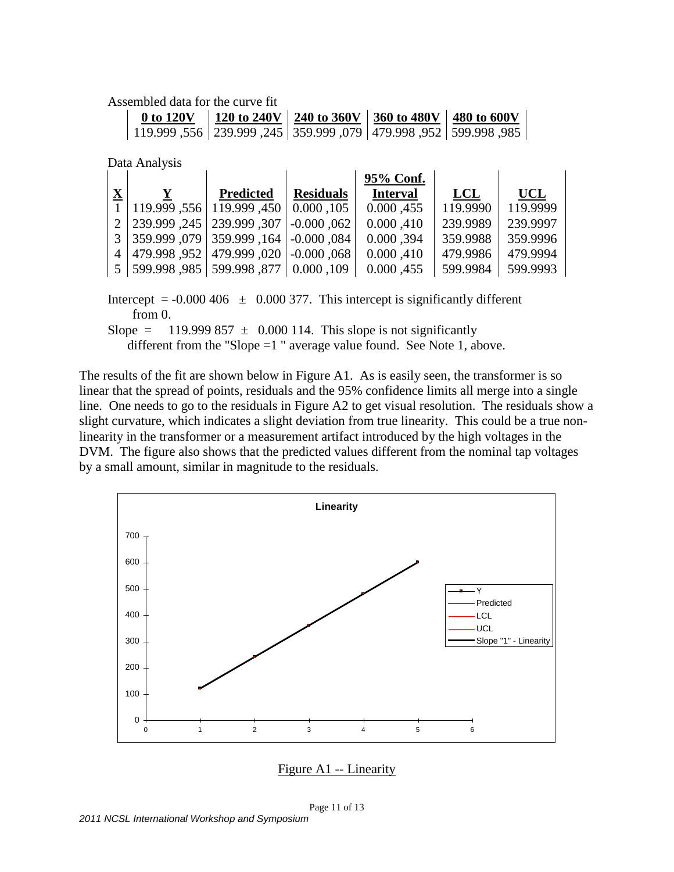Assembled data for the curve fit

| 0 to 120V |                                                                           | 120 to 240V   240 to 360V   360 to 480V   480 to 600V |  |
|-----------|---------------------------------------------------------------------------|-------------------------------------------------------|--|
|           | , 985, 998,999   952, 998,999   979   979, 989, 952   556   989,999   556 |                                                       |  |

Data Analysis

|                         |                                                          |           |                  | 95% Conf.       |          |            |
|-------------------------|----------------------------------------------------------|-----------|------------------|-----------------|----------|------------|
| $\overline{\mathbf{X}}$ |                                                          | Predicted | <b>Residuals</b> | <b>Interval</b> | LCL      | <b>UCL</b> |
|                         | 1   119.999 ,556   119.999 ,450   0.000 ,105             |           |                  | 0.000,455       | 119.9990 | 119.9999   |
|                         | 2   239.999, 307   -0.000, 302                           |           |                  | 0.000,410       | 239.9989 | 239.9997   |
|                         | $3   359.999, 079   359.999, 164   -0.000, 084$          |           |                  | 0.000,394       | 359.9988 | 359.9996   |
|                         | $4 \mid 479.998, 952 \mid 479.999, 020 \mid -0.000, 068$ |           |                  | 0.000,410       | 479.9986 | 479,9994   |
|                         | 5   599.998, 985   599.998, 877   0.000, 109             |           |                  | 0.000,455       | 599.9984 | 599.9993   |

Intercept =  $-0.000\,406 \pm 0.000\,377$ . This intercept is significantly different from 0. Slope = 119.999 857  $\pm$  0.000 114. This slope is not significantly

different from the "Slope  $=1$  " average value found. See Note 1, above.

The results of the fit are shown below in Figure A1. As is easily seen, the transformer is so linear that the spread of points, residuals and the 95% confidence limits all merge into a single line. One needs to go to the residuals in Figure A2 to get visual resolution. The residuals show a slight curvature, which indicates a slight deviation from true linearity. This could be a true nonlinearity in the transformer or a measurement artifact introduced by the high voltages in the DVM. The figure also shows that the predicted values different from the nominal tap voltages by a small amount, similar in magnitude to the residuals.



Page 11 of 13 *2011 NCSL International Workshop and Symposium*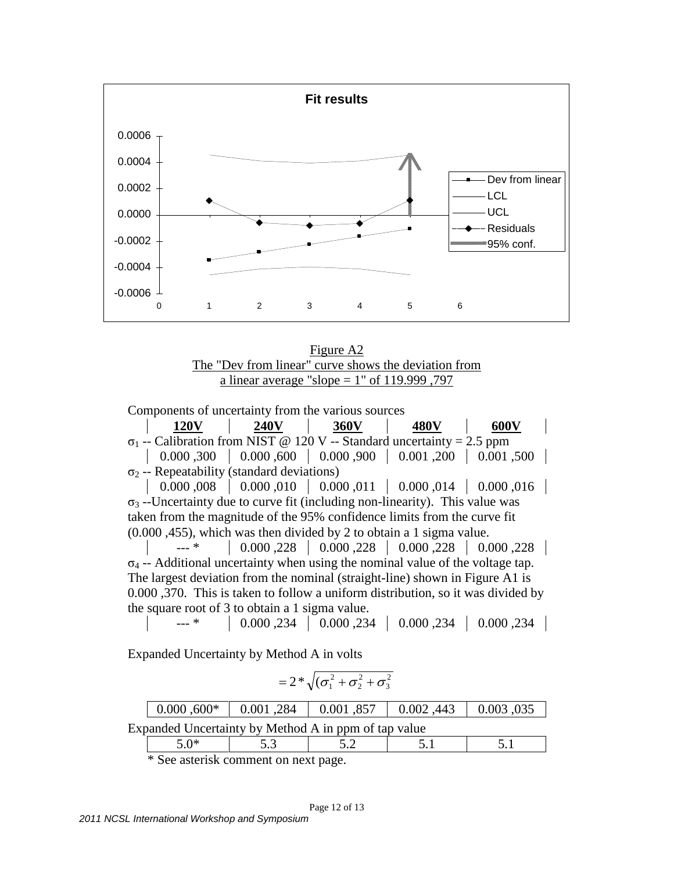

Figure A2 The "Dev from linear" curve shows the deviation from a linear average "slope =  $1$ " of 119.999, 797

Components of uncertainty from the various sources <u>120V 240V 360V 480V 600V</u>  $\sigma_1$  -- Calibration from NIST @ 120 V -- Standard uncertainty = 2.5 ppm  $\vert 0.000, 300 \vert 0.000, 600 \vert 0.000, 900 \vert 0.001, 200 \vert 0.001, 500 \vert$  $σ<sub>2</sub> - Repeatedability (standard deviations)$ | 0.000,008 | 0.000,010 | 0.000,011 | 0.000,014 | 0.000,016 |

 $\sigma_3$  --Uncertainty due to curve fit (including non-linearity). This value was taken from the magnitude of the 95% confidence limits from the curve fit (0.000 ,455), which was then divided by 2 to obtain a 1 sigma value.

 $-$  \* 0.000, 0.000, 0.000, 0.000, 0.000, 0.000, 0.000, 0.000  $\mid$  0.000  $\sigma_4$  -- Additional uncertainty when using the nominal value of the voltage tap. The largest deviation from the nominal (straight-line) shown in Figure A1 is 0.000 ,370. This is taken to follow a uniform distribution, so it was divided by the square root of 3 to obtain a 1 sigma value.

--- \* 0.000 ,234 0.000 ,234 0.000 ,234 0.000 ,234

Expanded Uncertainty by Method A in volts

$$
=2*\sqrt{(\sigma_1^2+\sigma_2^2+\sigma_3^2}
$$

|                                                      | $0.000, 600*$                                                                                                                                                                                                                                                                                 |  |  | $0.001$ , 284   $0.001$ , 857   $0.002$ , 443   $0.003$ , 035 |  |  |  |
|------------------------------------------------------|-----------------------------------------------------------------------------------------------------------------------------------------------------------------------------------------------------------------------------------------------------------------------------------------------|--|--|---------------------------------------------------------------|--|--|--|
| Expanded Uncertainty by Method A in ppm of tap value |                                                                                                                                                                                                                                                                                               |  |  |                                                               |  |  |  |
| 5 $0*$                                               |                                                                                                                                                                                                                                                                                               |  |  |                                                               |  |  |  |
|                                                      | $\sim$ 0 $\sim$ 1 $\sim$ 1 $\sim$ 1 $\sim$ 1 $\sim$ 1 $\sim$ 1 $\sim$ 1 $\sim$ 1 $\sim$ 1 $\sim$ 1 $\sim$ 1 $\sim$ 1 $\sim$ 1 $\sim$ 1 $\sim$ 1 $\sim$ 1 $\sim$ 1 $\sim$ 1 $\sim$ 1 $\sim$ 1 $\sim$ 1 $\sim$ 1 $\sim$ 1 $\sim$ 1 $\sim$ 1 $\sim$ 1 $\sim$ 1 $\sim$ 1 $\sim$ 1 $\sim$ 1 $\sim$ |  |  |                                                               |  |  |  |

\* See asterisk comment on next page.